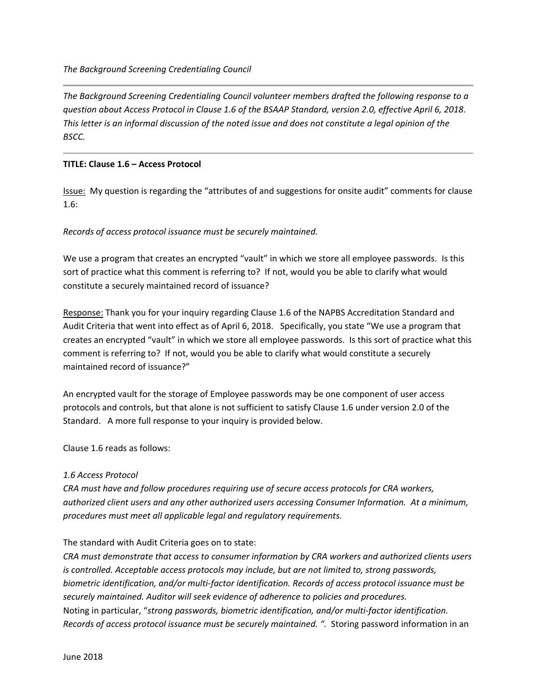*The Background Screening Credentialing Council volunteer members drafted the following response to a question about Access Protocol in Clause 1.6 of the BSAAP Standard, version 2.0, effective April 6, 2018. This letter is an informal discussion of the noted issue and does not constitute a legal opinion of the BSCC.*

## **TITLE: Clause 1.6 – Access Protocol**

Issue: My question is regarding the "attributes of and suggestions for onsite audit" comments for clause 1.6:

## *Records of access protocol issuance must be securely maintained.*

We use a program that creates an encrypted "vault" in which we store all employee passwords. Is this sort of practice what this comment is referring to? If not, would you be able to clarify what would constitute a securely maintained record of issuance?

Response: Thank you for your inquiry regarding Clause 1.6 of the NAPBS Accreditation Standard and Audit Criteria that went into effect as of April 6, 2018. Specifically, you state "We use a program that creates an encrypted "vault" in which we store all employee passwords. Is this sort of practice what this comment is referring to? If not, would you be able to clarify what would constitute a securely maintained record of issuance?"

An encrypted vault for the storage of Employee passwords may be one component of user access protocols and controls, but that alone is not sufficient to satisfy Clause 1.6 under version 2.0 of the Standard. A more full response to your inquiry is provided below.

Clause 1.6 reads as follows:

## *1.6 Access Protocol*

*CRA must have and follow procedures requiring use of secure access protocols for CRA workers, authorized client users and any other authorized users accessing Consumer Information. At a minimum, procedures must meet all applicable legal and regulatory requirements.* 

## The standard with Audit Criteria goes on to state:

*CRA must demonstrate that access to consumer information by CRA workers and authorized clients users is controlled. Acceptable access protocols may include, but are not limited to, strong passwords, biometric identification, and/or multi-factor identification. Records of access protocol issuance must be securely maintained. Auditor will seek evidence of adherence to policies and procedures.* Noting in particular, "*strong passwords, biometric identification, and/or multi-factor identification. Records of access protocol issuance must be securely maintained. ".* Storing password information in an